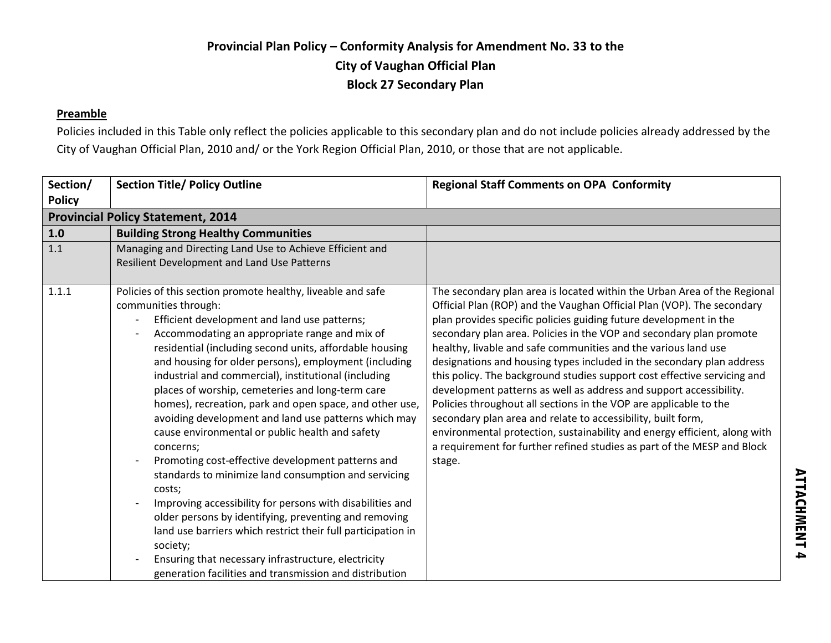#### **Preamble**

Policies included in this Table only reflect the policies applicable to this secondary plan and do not include policies already addressed by the City of Vaughan Official Plan, 2010 and/ or the York Region Official Plan, 2010, or those that are not applicable.

| Section/<br><b>Policy</b> | <b>Section Title/ Policy Outline</b>                                                                                                                                                                                                                                                                                                                                                                                                                                                                                                                                                                                                                                                                                                                                                                                                                                                                                                                                                                                                                                           | <b>Regional Staff Comments on OPA Conformity</b>                                                                                                                                                                                                                                                                                                                                                                                                                                                                                                                                                                                                                                                                                                                                                                                                                                                   |
|---------------------------|--------------------------------------------------------------------------------------------------------------------------------------------------------------------------------------------------------------------------------------------------------------------------------------------------------------------------------------------------------------------------------------------------------------------------------------------------------------------------------------------------------------------------------------------------------------------------------------------------------------------------------------------------------------------------------------------------------------------------------------------------------------------------------------------------------------------------------------------------------------------------------------------------------------------------------------------------------------------------------------------------------------------------------------------------------------------------------|----------------------------------------------------------------------------------------------------------------------------------------------------------------------------------------------------------------------------------------------------------------------------------------------------------------------------------------------------------------------------------------------------------------------------------------------------------------------------------------------------------------------------------------------------------------------------------------------------------------------------------------------------------------------------------------------------------------------------------------------------------------------------------------------------------------------------------------------------------------------------------------------------|
|                           | <b>Provincial Policy Statement, 2014</b>                                                                                                                                                                                                                                                                                                                                                                                                                                                                                                                                                                                                                                                                                                                                                                                                                                                                                                                                                                                                                                       |                                                                                                                                                                                                                                                                                                                                                                                                                                                                                                                                                                                                                                                                                                                                                                                                                                                                                                    |
| 1.0                       | <b>Building Strong Healthy Communities</b>                                                                                                                                                                                                                                                                                                                                                                                                                                                                                                                                                                                                                                                                                                                                                                                                                                                                                                                                                                                                                                     |                                                                                                                                                                                                                                                                                                                                                                                                                                                                                                                                                                                                                                                                                                                                                                                                                                                                                                    |
| 1.1                       | Managing and Directing Land Use to Achieve Efficient and<br>Resilient Development and Land Use Patterns                                                                                                                                                                                                                                                                                                                                                                                                                                                                                                                                                                                                                                                                                                                                                                                                                                                                                                                                                                        |                                                                                                                                                                                                                                                                                                                                                                                                                                                                                                                                                                                                                                                                                                                                                                                                                                                                                                    |
| 1.1.1                     | Policies of this section promote healthy, liveable and safe<br>communities through:<br>Efficient development and land use patterns;<br>$\overline{\phantom{a}}$<br>Accommodating an appropriate range and mix of<br>residential (including second units, affordable housing<br>and housing for older persons), employment (including<br>industrial and commercial), institutional (including<br>places of worship, cemeteries and long-term care<br>homes), recreation, park and open space, and other use,<br>avoiding development and land use patterns which may<br>cause environmental or public health and safety<br>concerns;<br>Promoting cost-effective development patterns and<br>standards to minimize land consumption and servicing<br>costs;<br>Improving accessibility for persons with disabilities and<br>older persons by identifying, preventing and removing<br>land use barriers which restrict their full participation in<br>society;<br>Ensuring that necessary infrastructure, electricity<br>generation facilities and transmission and distribution | The secondary plan area is located within the Urban Area of the Regional<br>Official Plan (ROP) and the Vaughan Official Plan (VOP). The secondary<br>plan provides specific policies guiding future development in the<br>secondary plan area. Policies in the VOP and secondary plan promote<br>healthy, livable and safe communities and the various land use<br>designations and housing types included in the secondary plan address<br>this policy. The background studies support cost effective servicing and<br>development patterns as well as address and support accessibility.<br>Policies throughout all sections in the VOP are applicable to the<br>secondary plan area and relate to accessibility, built form,<br>environmental protection, sustainability and energy efficient, along with<br>a requirement for further refined studies as part of the MESP and Block<br>stage. |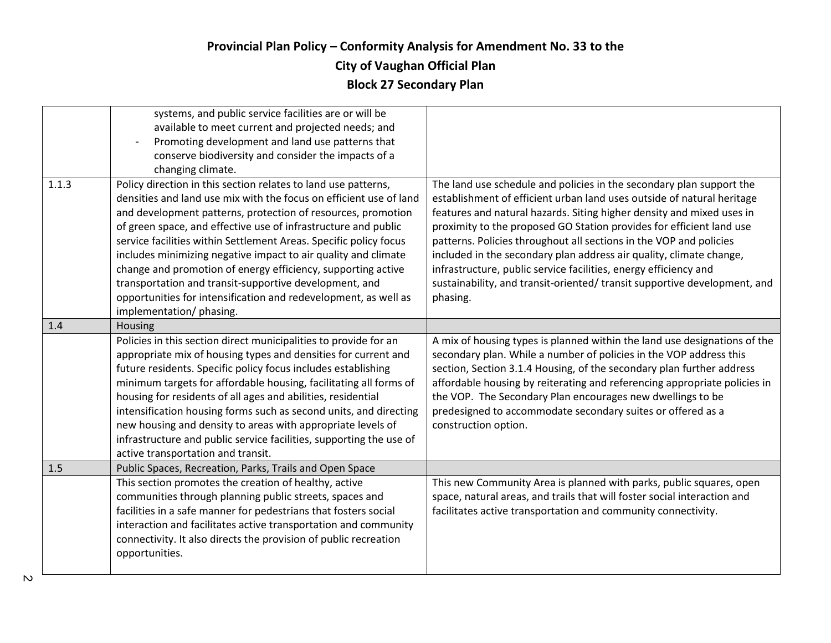|       | systems, and public service facilities are or will be<br>available to meet current and projected needs; and<br>Promoting development and land use patterns that<br>conserve biodiversity and consider the impacts of a<br>changing climate.                                                                                                                                                                                                                                                                                                                                                                                            |                                                                                                                                                                                                                                                                                                                                                                                                                                                                                                                                                                                                           |
|-------|----------------------------------------------------------------------------------------------------------------------------------------------------------------------------------------------------------------------------------------------------------------------------------------------------------------------------------------------------------------------------------------------------------------------------------------------------------------------------------------------------------------------------------------------------------------------------------------------------------------------------------------|-----------------------------------------------------------------------------------------------------------------------------------------------------------------------------------------------------------------------------------------------------------------------------------------------------------------------------------------------------------------------------------------------------------------------------------------------------------------------------------------------------------------------------------------------------------------------------------------------------------|
| 1.1.3 | Policy direction in this section relates to land use patterns,<br>densities and land use mix with the focus on efficient use of land<br>and development patterns, protection of resources, promotion<br>of green space, and effective use of infrastructure and public<br>service facilities within Settlement Areas. Specific policy focus<br>includes minimizing negative impact to air quality and climate<br>change and promotion of energy efficiency, supporting active<br>transportation and transit-supportive development, and<br>opportunities for intensification and redevelopment, as well as<br>implementation/ phasing. | The land use schedule and policies in the secondary plan support the<br>establishment of efficient urban land uses outside of natural heritage<br>features and natural hazards. Siting higher density and mixed uses in<br>proximity to the proposed GO Station provides for efficient land use<br>patterns. Policies throughout all sections in the VOP and policies<br>included in the secondary plan address air quality, climate change,<br>infrastructure, public service facilities, energy efficiency and<br>sustainability, and transit-oriented/ transit supportive development, and<br>phasing. |
| 1.4   | Housing                                                                                                                                                                                                                                                                                                                                                                                                                                                                                                                                                                                                                                |                                                                                                                                                                                                                                                                                                                                                                                                                                                                                                                                                                                                           |
|       | Policies in this section direct municipalities to provide for an<br>appropriate mix of housing types and densities for current and<br>future residents. Specific policy focus includes establishing<br>minimum targets for affordable housing, facilitating all forms of<br>housing for residents of all ages and abilities, residential<br>intensification housing forms such as second units, and directing<br>new housing and density to areas with appropriate levels of<br>infrastructure and public service facilities, supporting the use of<br>active transportation and transit.                                              | A mix of housing types is planned within the land use designations of the<br>secondary plan. While a number of policies in the VOP address this<br>section, Section 3.1.4 Housing, of the secondary plan further address<br>affordable housing by reiterating and referencing appropriate policies in<br>the VOP. The Secondary Plan encourages new dwellings to be<br>predesigned to accommodate secondary suites or offered as a<br>construction option.                                                                                                                                                |
| 1.5   | Public Spaces, Recreation, Parks, Trails and Open Space                                                                                                                                                                                                                                                                                                                                                                                                                                                                                                                                                                                |                                                                                                                                                                                                                                                                                                                                                                                                                                                                                                                                                                                                           |
|       | This section promotes the creation of healthy, active<br>communities through planning public streets, spaces and<br>facilities in a safe manner for pedestrians that fosters social<br>interaction and facilitates active transportation and community<br>connectivity. It also directs the provision of public recreation<br>opportunities.                                                                                                                                                                                                                                                                                           | This new Community Area is planned with parks, public squares, open<br>space, natural areas, and trails that will foster social interaction and<br>facilitates active transportation and community connectivity.                                                                                                                                                                                                                                                                                                                                                                                          |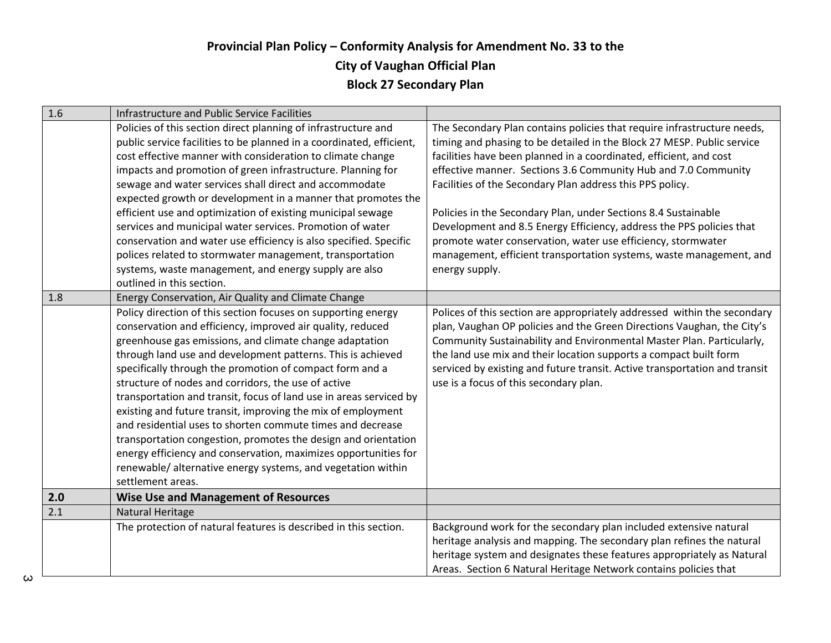| 1.6 | Infrastructure and Public Service Facilities                                                                                                                                                                                                                                                                                                                                                                                                                                                                                                                                                                                                                                                                                                                                                          |                                                                                                                                                                                                                                                                                                                                                                                                                                                                                                                                                                                                                                                           |
|-----|-------------------------------------------------------------------------------------------------------------------------------------------------------------------------------------------------------------------------------------------------------------------------------------------------------------------------------------------------------------------------------------------------------------------------------------------------------------------------------------------------------------------------------------------------------------------------------------------------------------------------------------------------------------------------------------------------------------------------------------------------------------------------------------------------------|-----------------------------------------------------------------------------------------------------------------------------------------------------------------------------------------------------------------------------------------------------------------------------------------------------------------------------------------------------------------------------------------------------------------------------------------------------------------------------------------------------------------------------------------------------------------------------------------------------------------------------------------------------------|
|     | Policies of this section direct planning of infrastructure and<br>public service facilities to be planned in a coordinated, efficient,<br>cost effective manner with consideration to climate change<br>impacts and promotion of green infrastructure. Planning for<br>sewage and water services shall direct and accommodate<br>expected growth or development in a manner that promotes the<br>efficient use and optimization of existing municipal sewage<br>services and municipal water services. Promotion of water<br>conservation and water use efficiency is also specified. Specific<br>polices related to stormwater management, transportation<br>systems, waste management, and energy supply are also<br>outlined in this section.                                                      | The Secondary Plan contains policies that require infrastructure needs,<br>timing and phasing to be detailed in the Block 27 MESP. Public service<br>facilities have been planned in a coordinated, efficient, and cost<br>effective manner. Sections 3.6 Community Hub and 7.0 Community<br>Facilities of the Secondary Plan address this PPS policy.<br>Policies in the Secondary Plan, under Sections 8.4 Sustainable<br>Development and 8.5 Energy Efficiency, address the PPS policies that<br>promote water conservation, water use efficiency, stormwater<br>management, efficient transportation systems, waste management, and<br>energy supply. |
| 1.8 | Energy Conservation, Air Quality and Climate Change                                                                                                                                                                                                                                                                                                                                                                                                                                                                                                                                                                                                                                                                                                                                                   |                                                                                                                                                                                                                                                                                                                                                                                                                                                                                                                                                                                                                                                           |
|     | Policy direction of this section focuses on supporting energy<br>conservation and efficiency, improved air quality, reduced<br>greenhouse gas emissions, and climate change adaptation<br>through land use and development patterns. This is achieved<br>specifically through the promotion of compact form and a<br>structure of nodes and corridors, the use of active<br>transportation and transit, focus of land use in areas serviced by<br>existing and future transit, improving the mix of employment<br>and residential uses to shorten commute times and decrease<br>transportation congestion, promotes the design and orientation<br>energy efficiency and conservation, maximizes opportunities for<br>renewable/alternative energy systems, and vegetation within<br>settlement areas. | Polices of this section are appropriately addressed within the secondary<br>plan, Vaughan OP policies and the Green Directions Vaughan, the City's<br>Community Sustainability and Environmental Master Plan. Particularly,<br>the land use mix and their location supports a compact built form<br>serviced by existing and future transit. Active transportation and transit<br>use is a focus of this secondary plan.                                                                                                                                                                                                                                  |
| 2.0 | <b>Wise Use and Management of Resources</b>                                                                                                                                                                                                                                                                                                                                                                                                                                                                                                                                                                                                                                                                                                                                                           |                                                                                                                                                                                                                                                                                                                                                                                                                                                                                                                                                                                                                                                           |
| 2.1 | Natural Heritage                                                                                                                                                                                                                                                                                                                                                                                                                                                                                                                                                                                                                                                                                                                                                                                      |                                                                                                                                                                                                                                                                                                                                                                                                                                                                                                                                                                                                                                                           |
|     | The protection of natural features is described in this section.                                                                                                                                                                                                                                                                                                                                                                                                                                                                                                                                                                                                                                                                                                                                      | Background work for the secondary plan included extensive natural<br>heritage analysis and mapping. The secondary plan refines the natural<br>heritage system and designates these features appropriately as Natural<br>Areas. Section 6 Natural Heritage Network contains policies that                                                                                                                                                                                                                                                                                                                                                                  |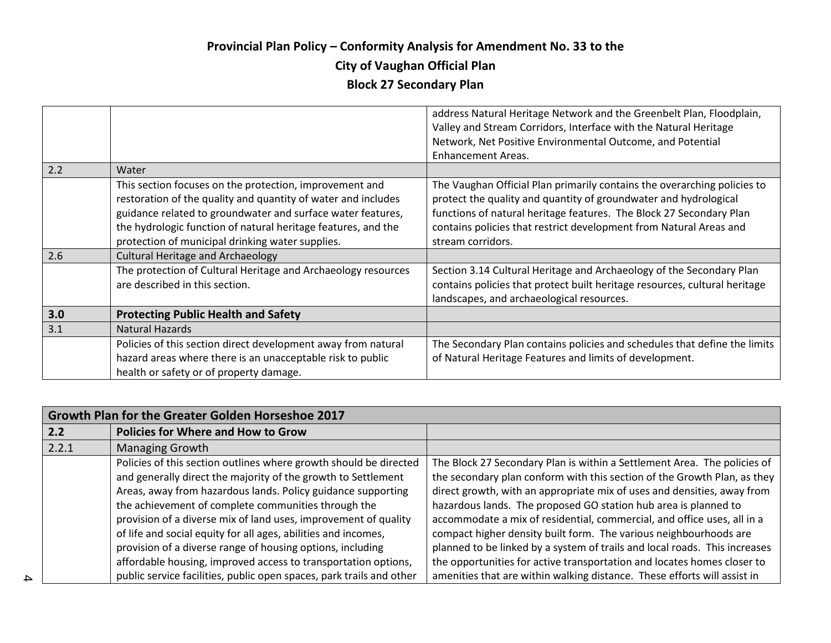## **Provincial Plan Policy – Conformity Analysis for Amendment No. 33 to the**

## **City of Vaughan Official Plan**

# **Block 27 Secondary Plan**

|     |                                                               | address Natural Heritage Network and the Greenbelt Plan, Floodplain,<br>Valley and Stream Corridors, Interface with the Natural Heritage |
|-----|---------------------------------------------------------------|------------------------------------------------------------------------------------------------------------------------------------------|
|     |                                                               | Network, Net Positive Environmental Outcome, and Potential                                                                               |
|     |                                                               | <b>Enhancement Areas.</b>                                                                                                                |
| 2.2 | Water                                                         |                                                                                                                                          |
|     | This section focuses on the protection, improvement and       | The Vaughan Official Plan primarily contains the overarching policies to                                                                 |
|     | restoration of the quality and quantity of water and includes | protect the quality and quantity of groundwater and hydrological                                                                         |
|     | guidance related to groundwater and surface water features,   | functions of natural heritage features. The Block 27 Secondary Plan                                                                      |
|     | the hydrologic function of natural heritage features, and the | contains policies that restrict development from Natural Areas and                                                                       |
|     | protection of municipal drinking water supplies.              | stream corridors.                                                                                                                        |
| 2.6 | <b>Cultural Heritage and Archaeology</b>                      |                                                                                                                                          |
|     | The protection of Cultural Heritage and Archaeology resources | Section 3.14 Cultural Heritage and Archaeology of the Secondary Plan                                                                     |
|     | are described in this section.                                | contains policies that protect built heritage resources, cultural heritage                                                               |
|     |                                                               | landscapes, and archaeological resources.                                                                                                |
| 3.0 | <b>Protecting Public Health and Safety</b>                    |                                                                                                                                          |
| 3.1 | <b>Natural Hazards</b>                                        |                                                                                                                                          |
|     | Policies of this section direct development away from natural | The Secondary Plan contains policies and schedules that define the limits                                                                |
|     | hazard areas where there is an unacceptable risk to public    | of Natural Heritage Features and limits of development.                                                                                  |
|     | health or safety or of property damage.                       |                                                                                                                                          |

|       | Growth Plan for the Greater Golden Horseshoe 2017                    |                                                                            |  |
|-------|----------------------------------------------------------------------|----------------------------------------------------------------------------|--|
| 2.2   | <b>Policies for Where and How to Grow</b>                            |                                                                            |  |
| 2.2.1 | <b>Managing Growth</b>                                               |                                                                            |  |
|       | Policies of this section outlines where growth should be directed    | The Block 27 Secondary Plan is within a Settlement Area. The policies of   |  |
|       | and generally direct the majority of the growth to Settlement        | the secondary plan conform with this section of the Growth Plan, as they   |  |
|       | Areas, away from hazardous lands. Policy guidance supporting         | direct growth, with an appropriate mix of uses and densities, away from    |  |
|       | the achievement of complete communities through the                  | hazardous lands. The proposed GO station hub area is planned to            |  |
|       | provision of a diverse mix of land uses, improvement of quality      | accommodate a mix of residential, commercial, and office uses, all in a    |  |
|       | of life and social equity for all ages, abilities and incomes,       | compact higher density built form. The various neighbourhoods are          |  |
|       | provision of a diverse range of housing options, including           | planned to be linked by a system of trails and local roads. This increases |  |
|       | affordable housing, improved access to transportation options,       | the opportunities for active transportation and locates homes closer to    |  |
|       | public service facilities, public open spaces, park trails and other | amenities that are within walking distance. These efforts will assist in   |  |

4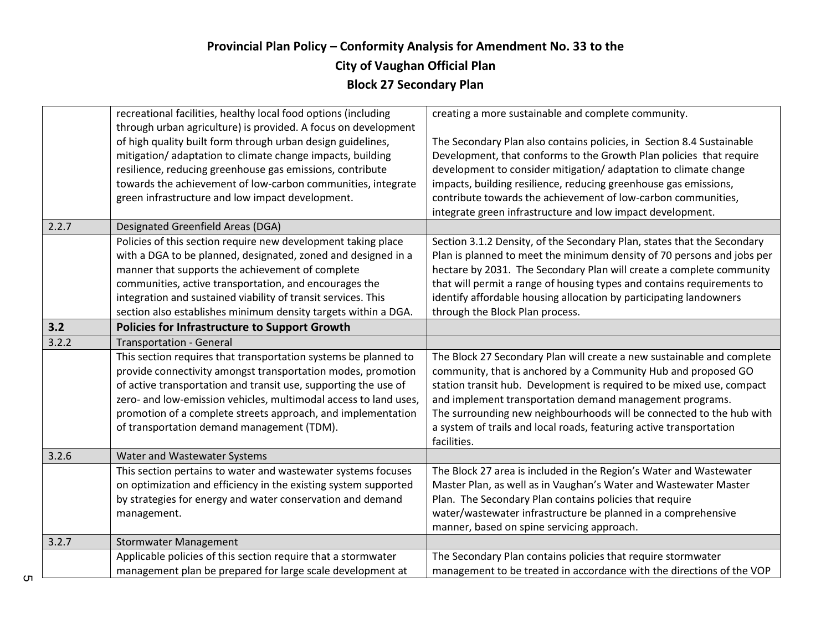|       | recreational facilities, healthy local food options (including   | creating a more sustainable and complete community.                     |
|-------|------------------------------------------------------------------|-------------------------------------------------------------------------|
|       | through urban agriculture) is provided. A focus on development   |                                                                         |
|       | of high quality built form through urban design guidelines,      | The Secondary Plan also contains policies, in Section 8.4 Sustainable   |
|       | mitigation/adaptation to climate change impacts, building        | Development, that conforms to the Growth Plan policies that require     |
|       | resilience, reducing greenhouse gas emissions, contribute        | development to consider mitigation/adaptation to climate change         |
|       | towards the achievement of low-carbon communities, integrate     | impacts, building resilience, reducing greenhouse gas emissions,        |
|       | green infrastructure and low impact development.                 | contribute towards the achievement of low-carbon communities,           |
|       |                                                                  | integrate green infrastructure and low impact development.              |
| 2.2.7 | Designated Greenfield Areas (DGA)                                |                                                                         |
|       | Policies of this section require new development taking place    | Section 3.1.2 Density, of the Secondary Plan, states that the Secondary |
|       | with a DGA to be planned, designated, zoned and designed in a    | Plan is planned to meet the minimum density of 70 persons and jobs per  |
|       | manner that supports the achievement of complete                 | hectare by 2031. The Secondary Plan will create a complete community    |
|       | communities, active transportation, and encourages the           | that will permit a range of housing types and contains requirements to  |
|       | integration and sustained viability of transit services. This    | identify affordable housing allocation by participating landowners      |
|       | section also establishes minimum density targets within a DGA.   | through the Block Plan process.                                         |
| 3.2   | <b>Policies for Infrastructure to Support Growth</b>             |                                                                         |
| 3.2.2 | <b>Transportation - General</b>                                  |                                                                         |
|       | This section requires that transportation systems be planned to  | The Block 27 Secondary Plan will create a new sustainable and complete  |
|       | provide connectivity amongst transportation modes, promotion     | community, that is anchored by a Community Hub and proposed GO          |
|       | of active transportation and transit use, supporting the use of  | station transit hub. Development is required to be mixed use, compact   |
|       | zero- and low-emission vehicles, multimodal access to land uses, | and implement transportation demand management programs.                |
|       | promotion of a complete streets approach, and implementation     | The surrounding new neighbourhoods will be connected to the hub with    |
|       | of transportation demand management (TDM).                       | a system of trails and local roads, featuring active transportation     |
|       |                                                                  | facilities.                                                             |
| 3.2.6 | Water and Wastewater Systems                                     |                                                                         |
|       | This section pertains to water and wastewater systems focuses    | The Block 27 area is included in the Region's Water and Wastewater      |
|       | on optimization and efficiency in the existing system supported  | Master Plan, as well as in Vaughan's Water and Wastewater Master        |
|       | by strategies for energy and water conservation and demand       | Plan. The Secondary Plan contains policies that require                 |
|       | management.                                                      | water/wastewater infrastructure be planned in a comprehensive           |
|       |                                                                  | manner, based on spine servicing approach.                              |
| 3.2.7 | <b>Stormwater Management</b>                                     |                                                                         |
|       | Applicable policies of this section require that a stormwater    | The Secondary Plan contains policies that require stormwater            |
|       | management plan be prepared for large scale development at       | management to be treated in accordance with the directions of the VOP   |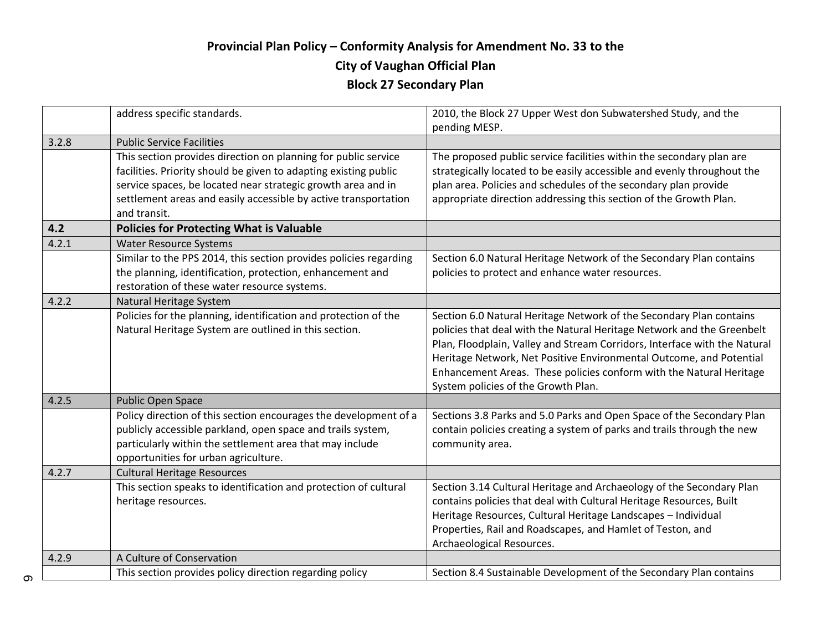|       | address specific standards.                                                                                                                                                                                                                                                           | 2010, the Block 27 Upper West don Subwatershed Study, and the<br>pending MESP.                                                                                                                                                                                                                                                                                                                                  |
|-------|---------------------------------------------------------------------------------------------------------------------------------------------------------------------------------------------------------------------------------------------------------------------------------------|-----------------------------------------------------------------------------------------------------------------------------------------------------------------------------------------------------------------------------------------------------------------------------------------------------------------------------------------------------------------------------------------------------------------|
| 3.2.8 | <b>Public Service Facilities</b>                                                                                                                                                                                                                                                      |                                                                                                                                                                                                                                                                                                                                                                                                                 |
|       | This section provides direction on planning for public service<br>facilities. Priority should be given to adapting existing public<br>service spaces, be located near strategic growth area and in<br>settlement areas and easily accessible by active transportation<br>and transit. | The proposed public service facilities within the secondary plan are<br>strategically located to be easily accessible and evenly throughout the<br>plan area. Policies and schedules of the secondary plan provide<br>appropriate direction addressing this section of the Growth Plan.                                                                                                                         |
| 4.2   | <b>Policies for Protecting What is Valuable</b>                                                                                                                                                                                                                                       |                                                                                                                                                                                                                                                                                                                                                                                                                 |
| 4.2.1 | <b>Water Resource Systems</b>                                                                                                                                                                                                                                                         |                                                                                                                                                                                                                                                                                                                                                                                                                 |
|       | Similar to the PPS 2014, this section provides policies regarding<br>the planning, identification, protection, enhancement and<br>restoration of these water resource systems.                                                                                                        | Section 6.0 Natural Heritage Network of the Secondary Plan contains<br>policies to protect and enhance water resources.                                                                                                                                                                                                                                                                                         |
| 4.2.2 | Natural Heritage System                                                                                                                                                                                                                                                               |                                                                                                                                                                                                                                                                                                                                                                                                                 |
|       | Policies for the planning, identification and protection of the<br>Natural Heritage System are outlined in this section.                                                                                                                                                              | Section 6.0 Natural Heritage Network of the Secondary Plan contains<br>policies that deal with the Natural Heritage Network and the Greenbelt<br>Plan, Floodplain, Valley and Stream Corridors, Interface with the Natural<br>Heritage Network, Net Positive Environmental Outcome, and Potential<br>Enhancement Areas. These policies conform with the Natural Heritage<br>System policies of the Growth Plan. |
| 4.2.5 | <b>Public Open Space</b>                                                                                                                                                                                                                                                              |                                                                                                                                                                                                                                                                                                                                                                                                                 |
|       | Policy direction of this section encourages the development of a<br>publicly accessible parkland, open space and trails system,<br>particularly within the settlement area that may include<br>opportunities for urban agriculture.                                                   | Sections 3.8 Parks and 5.0 Parks and Open Space of the Secondary Plan<br>contain policies creating a system of parks and trails through the new<br>community area.                                                                                                                                                                                                                                              |
| 4.2.7 | <b>Cultural Heritage Resources</b>                                                                                                                                                                                                                                                    |                                                                                                                                                                                                                                                                                                                                                                                                                 |
|       | This section speaks to identification and protection of cultural<br>heritage resources.                                                                                                                                                                                               | Section 3.14 Cultural Heritage and Archaeology of the Secondary Plan<br>contains policies that deal with Cultural Heritage Resources, Built<br>Heritage Resources, Cultural Heritage Landscapes - Individual<br>Properties, Rail and Roadscapes, and Hamlet of Teston, and<br>Archaeological Resources.                                                                                                         |
| 4.2.9 | A Culture of Conservation                                                                                                                                                                                                                                                             |                                                                                                                                                                                                                                                                                                                                                                                                                 |
|       | This section provides policy direction regarding policy                                                                                                                                                                                                                               | Section 8.4 Sustainable Development of the Secondary Plan contains                                                                                                                                                                                                                                                                                                                                              |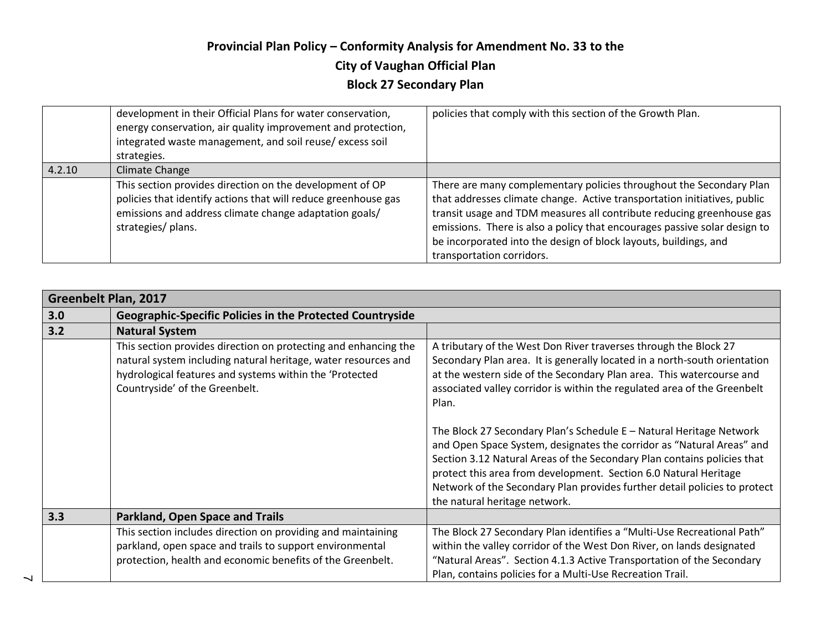|        | development in their Official Plans for water conservation,<br>energy conservation, air quality improvement and protection,<br>integrated waste management, and soil reuse/excess soil<br>strategies.      | policies that comply with this section of the Growth Plan.                                                                                                                                                                                                                                                                                                                                             |
|--------|------------------------------------------------------------------------------------------------------------------------------------------------------------------------------------------------------------|--------------------------------------------------------------------------------------------------------------------------------------------------------------------------------------------------------------------------------------------------------------------------------------------------------------------------------------------------------------------------------------------------------|
| 4.2.10 | Climate Change                                                                                                                                                                                             |                                                                                                                                                                                                                                                                                                                                                                                                        |
|        | This section provides direction on the development of OP<br>policies that identify actions that will reduce greenhouse gas<br>emissions and address climate change adaptation goals/<br>strategies/ plans. | There are many complementary policies throughout the Secondary Plan<br>that addresses climate change. Active transportation initiatives, public<br>transit usage and TDM measures all contribute reducing greenhouse gas<br>emissions. There is also a policy that encourages passive solar design to<br>be incorporated into the design of block layouts, buildings, and<br>transportation corridors. |

|     | <b>Greenbelt Plan, 2017</b>                                                                                                                                                                                                    |                                                                                                                                                                                                                                                                                                                                                                                                           |  |
|-----|--------------------------------------------------------------------------------------------------------------------------------------------------------------------------------------------------------------------------------|-----------------------------------------------------------------------------------------------------------------------------------------------------------------------------------------------------------------------------------------------------------------------------------------------------------------------------------------------------------------------------------------------------------|--|
| 3.0 | <b>Geographic-Specific Policies in the Protected Countryside</b>                                                                                                                                                               |                                                                                                                                                                                                                                                                                                                                                                                                           |  |
| 3.2 | <b>Natural System</b>                                                                                                                                                                                                          |                                                                                                                                                                                                                                                                                                                                                                                                           |  |
|     | This section provides direction on protecting and enhancing the<br>natural system including natural heritage, water resources and<br>hydrological features and systems within the 'Protected<br>Countryside' of the Greenbelt. | A tributary of the West Don River traverses through the Block 27<br>Secondary Plan area. It is generally located in a north-south orientation<br>at the western side of the Secondary Plan area. This watercourse and<br>associated valley corridor is within the regulated area of the Greenbelt<br>Plan.                                                                                                |  |
|     |                                                                                                                                                                                                                                | The Block 27 Secondary Plan's Schedule E - Natural Heritage Network<br>and Open Space System, designates the corridor as "Natural Areas" and<br>Section 3.12 Natural Areas of the Secondary Plan contains policies that<br>protect this area from development. Section 6.0 Natural Heritage<br>Network of the Secondary Plan provides further detail policies to protect<br>the natural heritage network. |  |
| 3.3 | <b>Parkland, Open Space and Trails</b>                                                                                                                                                                                         |                                                                                                                                                                                                                                                                                                                                                                                                           |  |
|     | This section includes direction on providing and maintaining<br>parkland, open space and trails to support environmental<br>protection, health and economic benefits of the Greenbelt.                                         | The Block 27 Secondary Plan identifies a "Multi-Use Recreational Path"<br>within the valley corridor of the West Don River, on lands designated<br>"Natural Areas". Section 4.1.3 Active Transportation of the Secondary<br>Plan, contains policies for a Multi-Use Recreation Trail.                                                                                                                     |  |

 $\overline{\phantom{0}}$